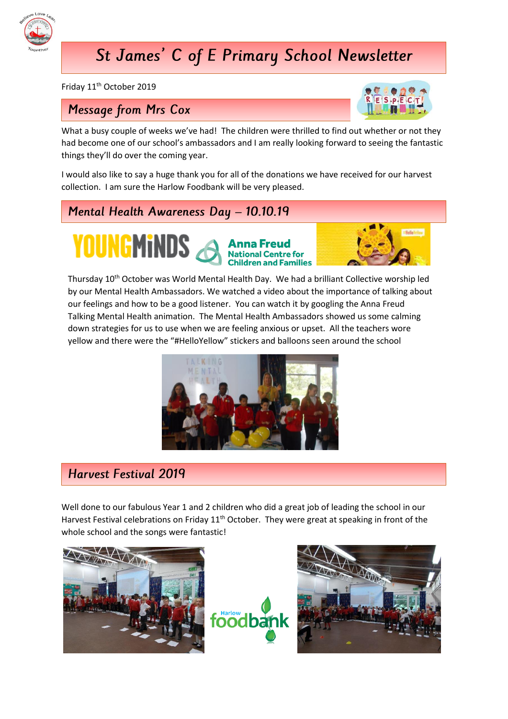

# St James' C of E Primary School Newsletter

Friday 11<sup>th</sup> October 2019

### **Message from Mrs Cox**



What a busy couple of weeks we've had! The children were thrilled to find out whether or not they had become one of our school's ambassadors and I am really looking forward to seeing the fantastic things they'll do over the coming year.

I would also like to say a huge thank you for all of the donations we have received for our harvest collection. I am sure the Harlow Foodbank will be very pleased.

Mental Health Awareness Day - 10.10.19

YOUNGMINDS Anna Freud



Thursday 10<sup>th</sup> October was World Mental Health Day. We had a brilliant Collective worship led by our Mental Health Ambassadors. We watched a video about the importance of talking about our feelings and how to be a good listener. You can watch it by googling the Anna Freud Talking Mental Health animation. The Mental Health Ambassadors showed us some calming down strategies for us to use when we are feeling anxious or upset. All the teachers wore yellow and there were the "#HelloYellow" stickers and balloons seen around the school



### **Harvest Festival 2019**

Well done to our fabulous Year 1 and 2 children who did a great job of leading the school in our Harvest Festival celebrations on Friday 11<sup>th</sup> October. They were great at speaking in front of the whole school and the songs were fantastic!





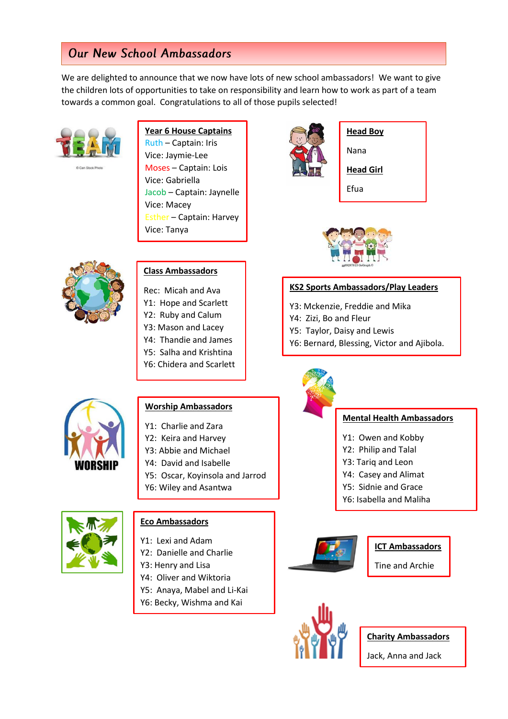### **Our New School Ambassadors**

We are delighted to announce that we now have lots of new school ambassadors! We want to give the children lots of opportunities to take on responsibility and learn how to work as part of a team towards a common goal. Congratulations to all of those pupils selected!



#### **Year 6 House Captains**

Ruth – Captain: Iris Vice: Jaymie-Lee Moses – Captain: Lois Vice: Gabriella Jacob – Captain: Jaynelle Vice: Macey Esther – Captain: Harvey Vice: Tanya



#### **Class Ambassadors**

Rec: Micah and Ava

- Y1: Hope and Scarlett
- Y2: Ruby and Calum
- Y3: Mason and Lacey
- Y4: Thandie and James
- Y5: Salha and Krishtina
- Y6: Chidera and Scarlett



### **Head Boy**

Nana

**Head Girl**

Efua



#### **KS2 Sports Ambassadors/Play Leaders**

Y3: Mckenzie, Freddie and Mika

- Y4: Zizi, Bo and Fleur
- Y5: Taylor, Daisy and Lewis
- Y6: Bernard, Blessing, Victor and Ajibola.



#### **Worship Ambassadors**

- Y1: Charlie and Zara
- Y2: Keira and Harvey
- Y3: Abbie and Michael
- Y4: David and Isabelle
- Y5: Oscar, Koyinsola and Jarrod
- Y6: Wiley and Asantwa



#### **Eco Ambassadors**

- Y1: Lexi and Adam
- Y2: Danielle and Charlie
- Y3: Henry and Lisa
- Y4: Oliver and Wiktoria
- Y5: Anaya, Mabel and Li-Kai
- Y6: Becky, Wishma and Kai



#### **Mental Health Ambassadors**

- Y1: Owen and Kobby
- Y2: Philip and Talal
- Y3: Tariq and Leon
- Y4: Casey and Alimat
- Y5: Sidnie and Grace
- Y6: Isabella and Maliha





Tine and Archie



**Charity Ambassadors**

Jack, Anna and Jack